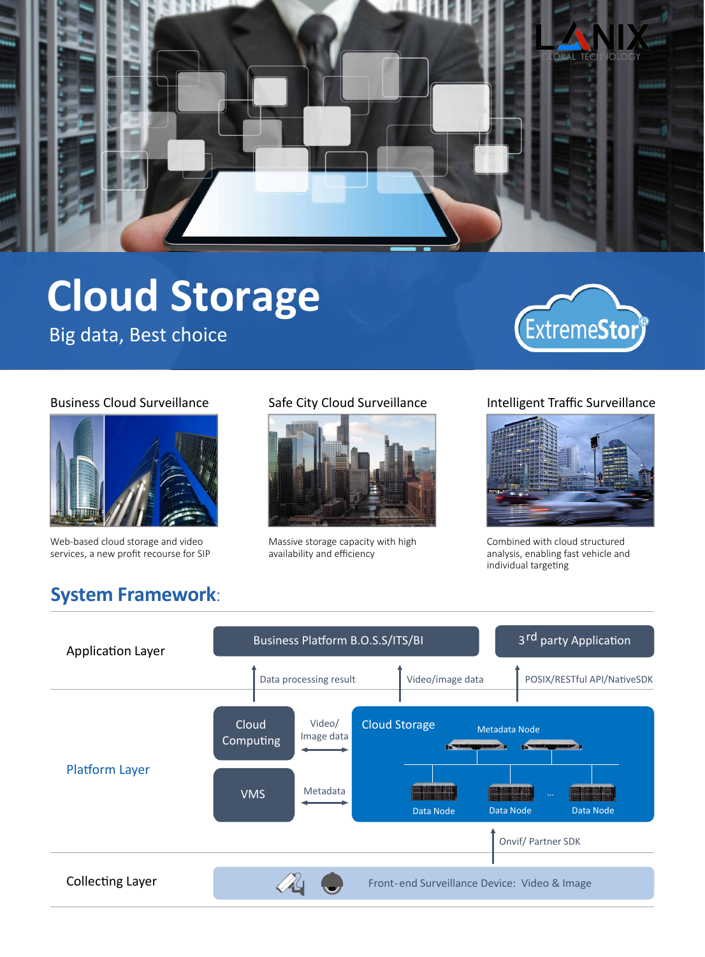

# **Cloud Storage**

Big data, Best choice





Web-based cloud storage and video services, a new profit recourse for SIP

**System Framework**:



Massive storage capacity with high availability and efficiency

#### Business Cloud Surveillance Safe City Cloud Surveillance Intelligent Traffic Surveillance



Combined with cloud structured analysis, enabling fast vehicle and individual targeting

#### Collecting Layer Platform Layer Application Layer Business Platform B.O.S.S/ITS/BI Cloud Storage Metadata Node 3<sup>rd</sup> party Application Front-end Surveillance Device: Video & Image Cloud Computing VMS Video/ Image data Data processing result Video/image data Onvif/ Partner SDK Metadata POSIX/RESTful API/NativeSDK Data Node Data Node Data Node